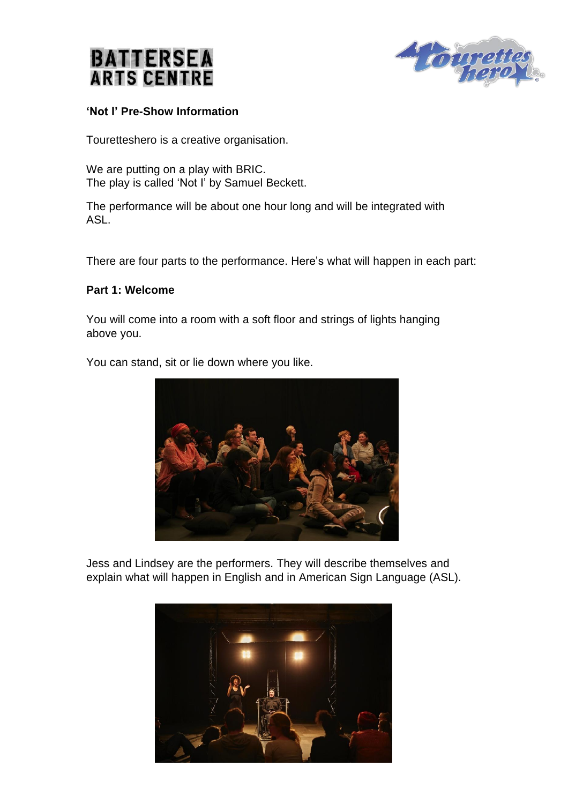



### **'Not I' Pre-Show Information**

Touretteshero is a creative organisation.

We are putting on a play with BRIC. The play is called 'Not I' by Samuel Beckett.

The performance will be about one hour long and will be integrated with ASL.

There are four parts to the performance. Here's what will happen in each part:

#### **Part 1: Welcome**

You will come into a room with a soft floor and strings of lights hanging above you.

You can stand, sit or lie down where you like.



Jess and Lindsey are the performers. They will describe themselves and explain what will happen in English and in American Sign Language (ASL).

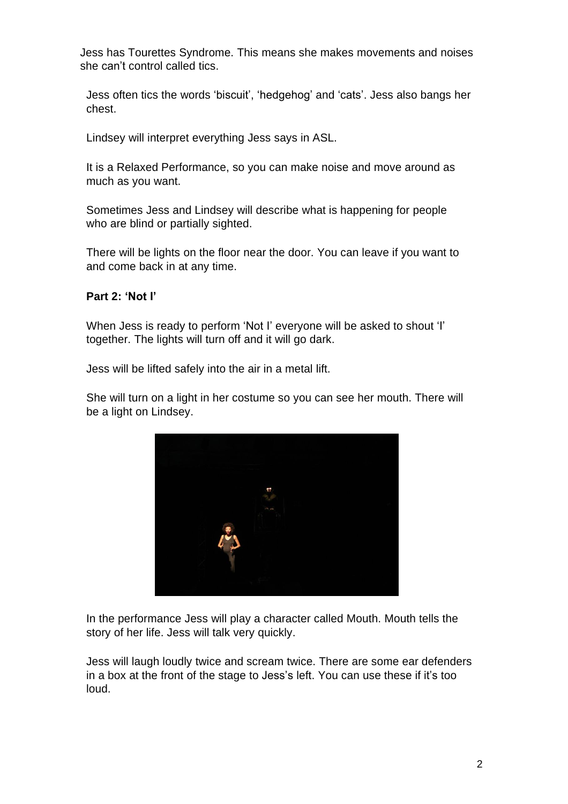Jess has Tourettes Syndrome. This means she makes movements and noises she can't control called tics.

Jess often tics the words 'biscuit', 'hedgehog' and 'cats'. Jess also bangs her chest.

Lindsey will interpret everything Jess says in ASL.

It is a Relaxed Performance, so you can make noise and move around as much as you want.

Sometimes Jess and Lindsey will describe what is happening for people who are blind or partially sighted.

There will be lights on the floor near the door. You can leave if you want to and come back in at any time.

## **Part 2: 'Not I'**

When Jess is ready to perform 'Not I' everyone will be asked to shout 'I' together. The lights will turn off and it will go dark.

Jess will be lifted safely into the air in a metal lift.

She will turn on a light in her costume so you can see her mouth. There will be a light on Lindsey.



In the performance Jess will play a character called Mouth. Mouth tells the story of her life. Jess will talk very quickly.

Jess will laugh loudly twice and scream twice. There are some ear defenders in a box at the front of the stage to Jess's left. You can use these if it's too loud.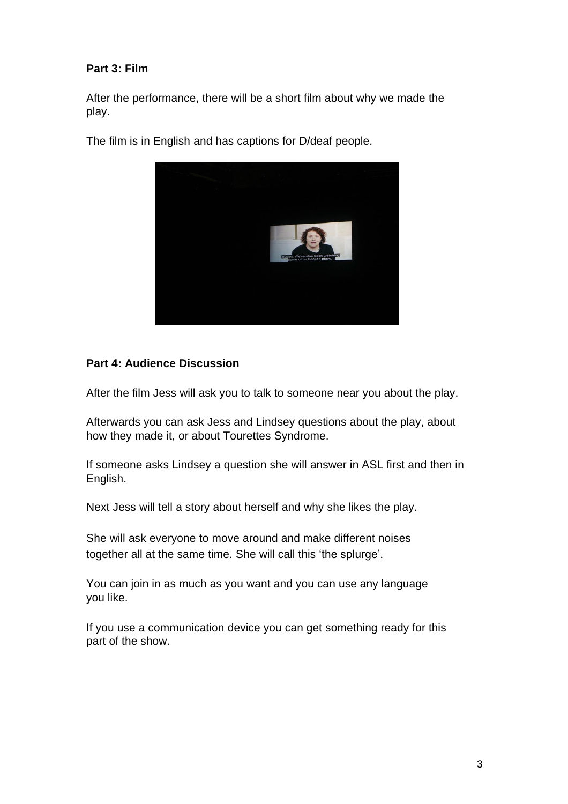# **Part 3: Film**

After the performance, there will be a short film about why we made the play.

The film is in English and has captions for D/deaf people.



## **Part 4: Audience Discussion**

After the film Jess will ask you to talk to someone near you about the play.

Afterwards you can ask Jess and Lindsey questions about the play, about how they made it, or about Tourettes Syndrome.

If someone asks Lindsey a question she will answer in ASL first and then in English.

Next Jess will tell a story about herself and why she likes the play.

She will ask everyone to move around and make different noises together all at the same time. She will call this 'the splurge'.

You can join in as much as you want and you can use any language you like.

If you use a communication device you can get something ready for this part of the show.